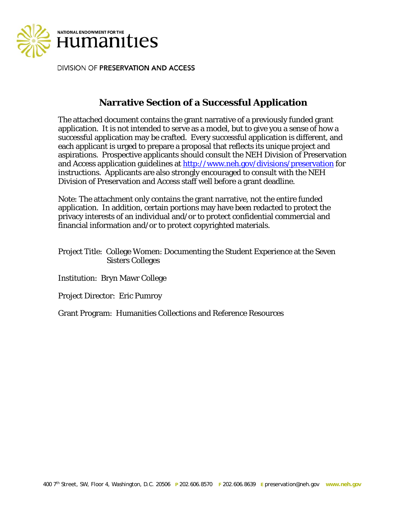

DIVISION OF PRESERVATION AND ACCESS

# **Narrative Section of a Successful Application**

The attached document contains the grant narrative of a previously funded grant application. It is not intended to serve as a model, but to give you a sense of how a successful application may be crafted. Every successful application is different, and each applicant is urged to prepare a proposal that reflects its unique project and aspirations. Prospective applicants should consult the NEH Division of Preservation and Access application guidelines at http://www.neh.gov/divisions/preservation for instructions. Applicants are also strongly encouraged to consult with the NEH Division of Preservation and Access staff well before a grant deadline.

Note: The attachment only contains the grant narrative, not the entire funded application. In addition, certain portions may have been redacted to protect the privacy interests of an individual and/or to protect confidential commercial and financial information and/or to protect copyrighted materials.

Project Title: College Women: Documenting the Student Experience at the Seven Sisters Colleges

Institution: Bryn Mawr College

Project Director: Eric Pumroy

Grant Program: Humanities Collections and Reference Resources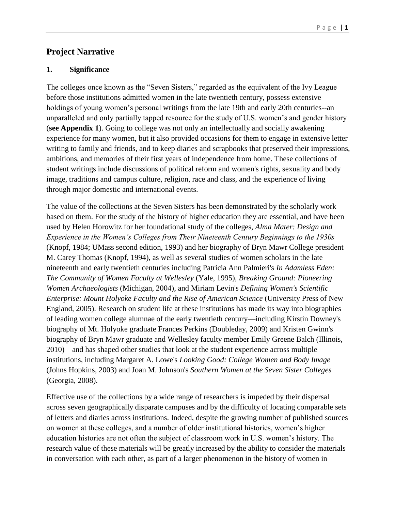# **Project Narrative**

### **1. Significance**

The colleges once known as the "Seven Sisters," regarded as the equivalent of the Ivy League before those institutions admitted women in the late twentieth century, possess extensive holdings of young women's personal writings from the late 19th and early 20th centuries--an unparalleled and only partially tapped resource for the study of U.S. women's and gender history (**see Appendix 1**). Going to college was not only an intellectually and socially awakening experience for many women, but it also provided occasions for them to engage in extensive letter writing to family and friends, and to keep diaries and scrapbooks that preserved their impressions, ambitions, and memories of their first years of independence from home. These collections of student writings include discussions of political reform and women's rights, sexuality and body image, traditions and campus culture, religion, race and class, and the experience of living through major domestic and international events.

The value of the collections at the Seven Sisters has been demonstrated by the scholarly work based on them. For the study of the history of higher education they are essential, and have been used by Helen Horowitz for her foundational study of the colleges, *Alma Mater: Design and Experience in the Women's Colleges from Their Nineteenth Century Beginnings to the 1930s* (Knopf, 1984; UMass second edition, 1993) and her biography of Bryn Mawr College president M. Carey Thomas (Knopf, 1994), as well as several studies of women scholars in the late nineteenth and early twentieth centuries including Patricia Ann Palmieri's *In Adamless Eden: The Community of Women Faculty at Wellesley* (Yale, 1995), *Breaking Ground: Pioneering Women Archaeologists* (Michigan, 2004), and Miriam Levin's *Defining Women's Scientific Enterprise: Mount Holyoke Faculty and the Rise of American Science* (University Press of New England, 2005). Research on student life at these institutions has made its way into biographies of leading women college alumnae of the early twentieth century—including Kirstin Downey's biography of Mt. Holyoke graduate Frances Perkins (Doubleday, 2009) and Kristen Gwinn's biography of Bryn Mawr graduate and Wellesley faculty member Emily Greene Balch (Illinois, 2010)—and has shaped other studies that look at the student experience across multiple institutions, including Margaret A. Lowe's *Looking Good: College Women and Body Image* (Johns Hopkins, 2003) and Joan M. Johnson's *Southern Women at the Seven Sister Colleges* (Georgia, 2008).

Effective use of the collections by a wide range of researchers is impeded by their dispersal across seven geographically disparate campuses and by the difficulty of locating comparable sets of letters and diaries across institutions. Indeed, despite the growing number of published sources on women at these colleges, and a number of older institutional histories, women's higher education histories are not often the subject of classroom work in U.S. women's history. The research value of these materials will be greatly increased by the ability to consider the materials in conversation with each other, as part of a larger phenomenon in the history of women in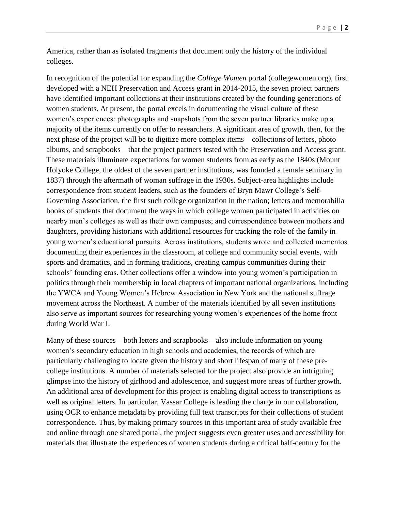America, rather than as isolated fragments that document only the history of the individual colleges.

In recognition of the potential for expanding the *College Women* portal (collegewomen.org), first developed with a NEH Preservation and Access grant in 2014-2015, the seven project partners have identified important collections at their institutions created by the founding generations of women students. At present, the portal excels in documenting the visual culture of these women's experiences: photographs and snapshots from the seven partner libraries make up a majority of the items currently on offer to researchers. A significant area of growth, then, for the next phase of the project will be to digitize more complex items—collections of letters, photo albums, and scrapbooks—that the project partners tested with the Preservation and Access grant. These materials illuminate expectations for women students from as early as the 1840s (Mount Holyoke College, the oldest of the seven partner institutions, was founded a female seminary in 1837) through the aftermath of woman suffrage in the 1930s. Subject-area highlights include correspondence from student leaders, such as the founders of Bryn Mawr College's Self-Governing Association, the first such college organization in the nation; letters and memorabilia books of students that document the ways in which college women participated in activities on nearby men's colleges as well as their own campuses; and correspondence between mothers and daughters, providing historians with additional resources for tracking the role of the family in young women's educational pursuits. Across institutions, students wrote and collected mementos documenting their experiences in the classroom, at college and community social events, with sports and dramatics, and in forming traditions, creating campus communities during their schools' founding eras. Other collections offer a window into young women's participation in politics through their membership in local chapters of important national organizations, including the YWCA and Young Women's Hebrew Association in New York and the national suffrage movement across the Northeast. A number of the materials identified by all seven institutions also serve as important sources for researching young women's experiences of the home front during World War I.

Many of these sources—both letters and scrapbooks—also include information on young women's secondary education in high schools and academies, the records of which are particularly challenging to locate given the history and short lifespan of many of these precollege institutions. A number of materials selected for the project also provide an intriguing glimpse into the history of girlhood and adolescence, and suggest more areas of further growth. An additional area of development for this project is enabling digital access to transcriptions as well as original letters. In particular, Vassar College is leading the charge in our collaboration, using OCR to enhance metadata by providing full text transcripts for their collections of student correspondence. Thus, by making primary sources in this important area of study available free and online through one shared portal, the project suggests even greater uses and accessibility for materials that illustrate the experiences of women students during a critical half-century for the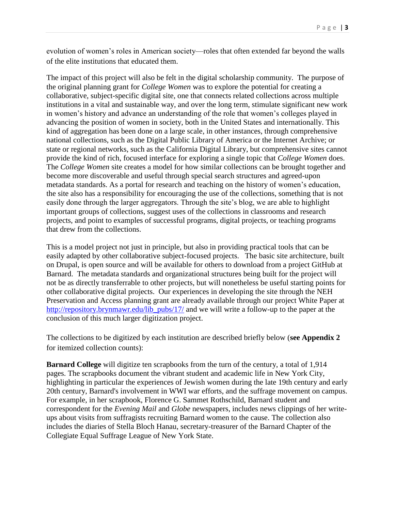evolution of women's roles in American society—roles that often extended far beyond the walls of the elite institutions that educated them.

The impact of this project will also be felt in the digital scholarship community. The purpose of the original planning grant for *College Women* was to explore the potential for creating a collaborative, subject-specific digital site, one that connects related collections across multiple institutions in a vital and sustainable way, and over the long term, stimulate significant new work in women's history and advance an understanding of the role that women's colleges played in advancing the position of women in society, both in the United States and internationally. This kind of aggregation has been done on a large scale, in other instances, through comprehensive national collections, such as the Digital Public Library of America or the Internet Archive; or state or regional networks, such as the California Digital Library, but comprehensive sites cannot provide the kind of rich, focused interface for exploring a single topic that *College Women* does. The *College Women* site creates a model for how similar collections can be brought together and become more discoverable and useful through special search structures and agreed-upon metadata standards. As a portal for research and teaching on the history of women's education, the site also has a responsibility for encouraging the use of the collections, something that is not easily done through the larger aggregators. Through the site's blog, we are able to highlight important groups of collections, suggest uses of the collections in classrooms and research projects, and point to examples of successful programs, digital projects, or teaching programs that drew from the collections.

This is a model project not just in principle, but also in providing practical tools that can be easily adapted by other collaborative subject-focused projects. The basic site architecture, built on Drupal, is open source and will be available for others to download from a project GitHub at Barnard. The metadata standards and organizational structures being built for the project will not be as directly transferrable to other projects, but will nonetheless be useful starting points for other collaborative digital projects. Our experiences in developing the site through the NEH Preservation and Access planning grant are already available through our project White Paper at [http://repository.brynmawr.edu/lib\\_pubs/17/](http://repository.brynmawr.edu/lib_pubs/17/) and we will write a follow-up to the paper at the conclusion of this much larger digitization project.

The collections to be digitized by each institution are described briefly below (**see Appendix 2** for itemized collection counts):

**Barnard College** will digitize ten scrapbooks from the turn of the century, a total of 1,914 pages. The scrapbooks document the vibrant student and academic life in New York City, highlighting in particular the experiences of Jewish women during the late 19th century and early 20th century, Barnard's involvement in WWI war efforts, and the suffrage movement on campus. For example, in her scrapbook, Florence G. Sammet Rothschild, Barnard student and correspondent for the *Evening Mail* and *Globe* newspapers, includes news clippings of her writeups about visits from suffragists recruiting Barnard women to the cause. The collection also includes the diaries of Stella Bloch Hanau, secretary-treasurer of the Barnard Chapter of the Collegiate Equal Suffrage League of New York State.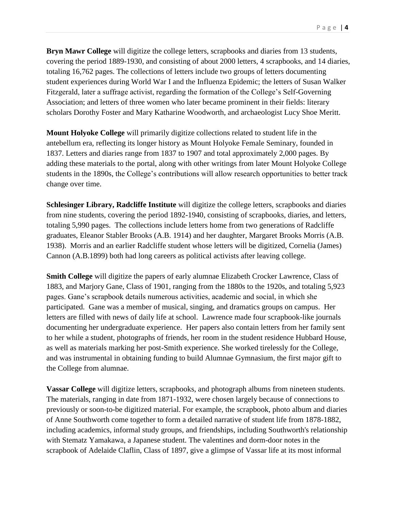**Bryn Mawr College** will digitize the college letters, scrapbooks and diaries from 13 students, covering the period 1889-1930, and consisting of about 2000 letters, 4 scrapbooks, and 14 diaries, totaling 16,762 pages. The collections of letters include two groups of letters documenting student experiences during World War I and the Influenza Epidemic; the letters of Susan Walker Fitzgerald, later a suffrage activist, regarding the formation of the College's Self-Governing Association; and letters of three women who later became prominent in their fields: literary scholars Dorothy Foster and Mary Katharine Woodworth, and archaeologist Lucy Shoe Meritt.

**Mount Holyoke College** will primarily digitize collections related to student life in the antebellum era, reflecting its longer history as Mount Holyoke Female Seminary, founded in 1837. Letters and diaries range from 1837 to 1907 and total approximately 2,000 pages. By adding these materials to the portal, along with other writings from later Mount Holyoke College students in the 1890s, the College's contributions will allow research opportunities to better track change over time.

**Schlesinger Library, Radcliffe Institute** will digitize the college letters, scrapbooks and diaries from nine students, covering the period 1892-1940, consisting of scrapbooks, diaries, and letters, totaling 5,990 pages. The collections include letters home from two generations of Radcliffe graduates, Eleanor Stabler Brooks (A.B. 1914) and her daughter, Margaret Brooks Morris (A.B. 1938). Morris and an earlier Radcliffe student whose letters will be digitized, Cornelia (James) Cannon (A.B.1899) both had long careers as political activists after leaving college.

**Smith College** will digitize the papers of early alumnae Elizabeth Crocker Lawrence, Class of 1883, and Marjory Gane, Class of 1901, ranging from the 1880s to the 1920s, and totaling 5,923 pages. Gane's scrapbook details numerous activities, academic and social, in which she participated. Gane was a member of musical, singing, and dramatics groups on campus. Her letters are filled with news of daily life at school. Lawrence made four scrapbook-like journals documenting her undergraduate experience. Her papers also contain letters from her family sent to her while a student, photographs of friends, her room in the student residence Hubbard House, as well as materials marking her post-Smith experience. She worked tirelessly for the College, and was instrumental in obtaining funding to build Alumnae Gymnasium, the first major gift to the College from alumnae.

**Vassar College** will digitize letters, scrapbooks, and photograph albums from nineteen students. The materials, ranging in date from 1871-1932, were chosen largely because of connections to previously or soon-to-be digitized material. For example, the scrapbook, photo album and diaries of Anne Southworth come together to form a detailed narrative of student life from 1878-1882, including academics, informal study groups, and friendships, including Southworth's relationship with Stematz Yamakawa, a Japanese student. The valentines and dorm-door notes in the scrapbook of Adelaide Claflin, Class of 1897, give a glimpse of Vassar life at its most informal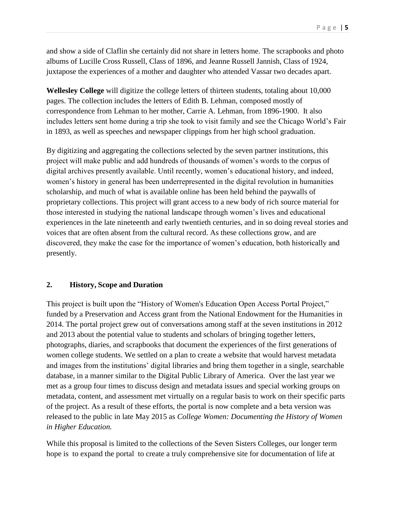and show a side of Claflin she certainly did not share in letters home. The scrapbooks and photo albums of Lucille Cross Russell, Class of 1896, and Jeanne Russell Jannish, Class of 1924, juxtapose the experiences of a mother and daughter who attended Vassar two decades apart.

**Wellesley College** will digitize the college letters of thirteen students, totaling about 10,000 pages. The collection includes the letters of Edith B. Lehman, composed mostly of correspondence from Lehman to her mother, Carrie A. Lehman, from 1896-1900. It also includes letters sent home during a trip she took to visit family and see the Chicago World's Fair in 1893, as well as speeches and newspaper clippings from her high school graduation.

By digitizing and aggregating the collections selected by the seven partner institutions, this project will make public and add hundreds of thousands of women's words to the corpus of digital archives presently available. Until recently, women's educational history, and indeed, women's history in general has been underrepresented in the digital revolution in humanities scholarship, and much of what is available online has been held behind the paywalls of proprietary collections. This project will grant access to a new body of rich source material for those interested in studying the national landscape through women's lives and educational experiences in the late nineteenth and early twentieth centuries, and in so doing reveal stories and voices that are often absent from the cultural record. As these collections grow, and are discovered, they make the case for the importance of women's education, both historically and presently.

### **2. History, Scope and Duration**

This project is built upon the "History of Women's Education Open Access Portal Project," funded by a Preservation and Access grant from the National Endowment for the Humanities in 2014. The portal project grew out of conversations among staff at the seven institutions in 2012 and 2013 about the potential value to students and scholars of bringing together letters, photographs, diaries, and scrapbooks that document the experiences of the first generations of women college students. We settled on a plan to create a website that would harvest metadata and images from the institutions' digital libraries and bring them together in a single, searchable database, in a manner similar to the Digital Public Library of America. Over the last year we met as a group four times to discuss design and metadata issues and special working groups on metadata, content, and assessment met virtually on a regular basis to work on their specific parts of the project. As a result of these efforts, the portal is now complete and a beta version was released to the public in late May 2015 as *College Women: Documenting the History of Women in Higher Education.*

While this proposal is limited to the collections of the Seven Sisters Colleges, our longer term hope is to expand the portal to create a truly comprehensive site for documentation of life at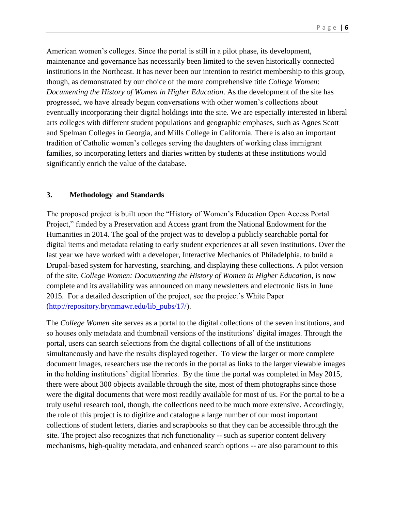American women's colleges. Since the portal is still in a pilot phase, its development, maintenance and governance has necessarily been limited to the seven historically connected institutions in the Northeast. It has never been our intention to restrict membership to this group, though, as demonstrated by our choice of the more comprehensive title *College Women*: *Documenting the History of Women in Higher Education*. As the development of the site has progressed, we have already begun conversations with other women's collections about eventually incorporating their digital holdings into the site. We are especially interested in liberal arts colleges with different student populations and geographic emphases, such as Agnes Scott and Spelman Colleges in Georgia, and Mills College in California. There is also an important tradition of Catholic women's colleges serving the daughters of working class immigrant families, so incorporating letters and diaries written by students at these institutions would significantly enrich the value of the database.

### **3. Methodology and Standards**

The proposed project is built upon the "History of Women's Education Open Access Portal Project," funded by a Preservation and Access grant from the National Endowment for the Humanities in 2014. The goal of the project was to develop a publicly searchable portal for digital items and metadata relating to early student experiences at all seven institutions. Over the last year we have worked with a developer, Interactive Mechanics of Philadelphia, to build a Drupal-based system for harvesting, searching, and displaying these collections. A pilot version of the site, *College Women: Documenting the History of Women in Higher Education,* is now complete and its availability was announced on many newsletters and electronic lists in June 2015. For a detailed description of the project, see the project's White Paper [\(http://repository.brynmawr.edu/lib\\_pubs/17/\)](http://repository.brynmawr.edu/lib_pubs/17/).

The *College Women* site serves as a portal to the digital collections of the seven institutions, and so houses only metadata and thumbnail versions of the institutions' digital images. Through the portal, users can search selections from the digital collections of all of the institutions simultaneously and have the results displayed together. To view the larger or more complete document images, researchers use the records in the portal as links to the larger viewable images in the holding institutions' digital libraries. By the time the portal was completed in May 2015, there were about 300 objects available through the site, most of them photographs since those were the digital documents that were most readily available for most of us. For the portal to be a truly useful research tool, though, the collections need to be much more extensive. Accordingly, the role of this project is to digitize and catalogue a large number of our most important collections of student letters, diaries and scrapbooks so that they can be accessible through the site. The project also recognizes that rich functionality -- such as superior content delivery mechanisms, high-quality metadata, and enhanced search options -- are also paramount to this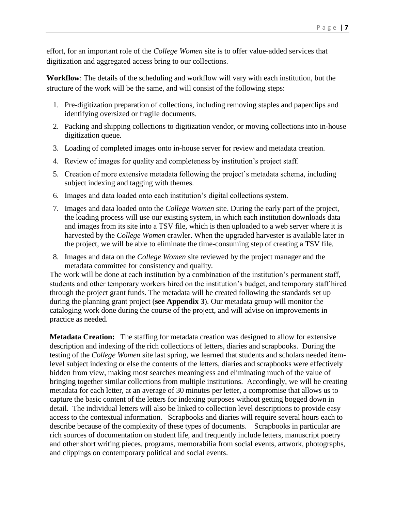effort, for an important role of the *College Women* site is to offer value-added services that digitization and aggregated access bring to our collections.

**Workflow**: The details of the scheduling and workflow will vary with each institution, but the structure of the work will be the same, and will consist of the following steps:

- 1. Pre-digitization preparation of collections, including removing staples and paperclips and identifying oversized or fragile documents.
- 2. Packing and shipping collections to digitization vendor, or moving collections into in-house digitization queue.
- 3. Loading of completed images onto in-house server for review and metadata creation.
- 4. Review of images for quality and completeness by institution's project staff.
- 5. Creation of more extensive metadata following the project's metadata schema, including subject indexing and tagging with themes.
- 6. Images and data loaded onto each institution's digital collections system.
- 7. Images and data loaded onto the *College Women* site. During the early part of the project, the loading process will use our existing system, in which each institution downloads data and images from its site into a TSV file, which is then uploaded to a web server where it is harvested by the *College Women* crawler. When the upgraded harvester is available later in the project, we will be able to eliminate the time-consuming step of creating a TSV file.
- 8. Images and data on the *College Women* site reviewed by the project manager and the metadata committee for consistency and quality.

The work will be done at each institution by a combination of the institution's permanent staff, students and other temporary workers hired on the institution's budget, and temporary staff hired through the project grant funds. The metadata will be created following the standards set up during the planning grant project (**see Appendix 3**). Our metadata group will monitor the cataloging work done during the course of the project, and will advise on improvements in practice as needed.

**Metadata Creation:** The staffing for metadata creation was designed to allow for extensive description and indexing of the rich collections of letters, diaries and scrapbooks. During the testing of the *College Women* site last spring, we learned that students and scholars needed itemlevel subject indexing or else the contents of the letters, diaries and scrapbooks were effectively hidden from view, making most searches meaningless and eliminating much of the value of bringing together similar collections from multiple institutions. Accordingly, we will be creating metadata for each letter, at an average of 30 minutes per letter, a compromise that allows us to capture the basic content of the letters for indexing purposes without getting bogged down in detail. The individual letters will also be linked to collection level descriptions to provide easy access to the contextual information. Scrapbooks and diaries will require several hours each to describe because of the complexity of these types of documents. Scrapbooks in particular are rich sources of documentation on student life, and frequently include letters, manuscript poetry and other short writing pieces, programs, memorabilia from social events, artwork, photographs, and clippings on contemporary political and social events.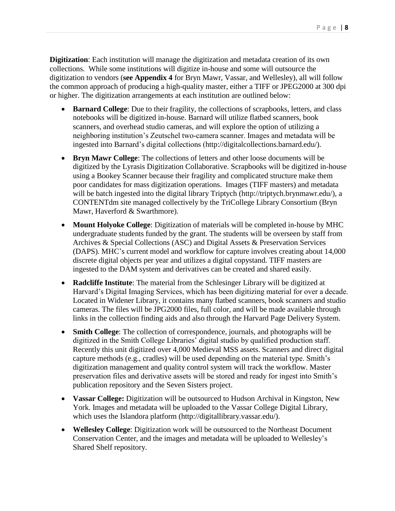**Digitization**: Each institution will manage the digitization and metadata creation of its own collections. While some institutions will digitize in-house and some will outsource the digitization to vendors (**see Appendix 4** for Bryn Mawr, Vassar, and Wellesley), all will follow the common approach of producing a high-quality master, either a TIFF or JPEG2000 at 300 dpi or higher. The digitization arrangements at each institution are outlined below:

- **Barnard College**: Due to their fragility, the collections of scrapbooks, letters, and class notebooks will be digitized in-house. Barnard will utilize flatbed scanners, book scanners, and overhead studio cameras, and will explore the option of utilizing a neighboring institution's Zeutschel two-camera scanner. Images and metadata will be ingested into Barnard's digital collections [\(http://digitalcollections.barnard.edu/\).](http://digitalcollections.barnard.edu/)
- **Bryn Mawr College**: The collections of letters and other loose documents will be digitized by the Lyrasis Digitization Collaborative. Scrapbooks will be digitized in-house using a Bookey Scanner because their fragility and complicated structure make them poor candidates for mass digitization operations. Images (TIFF masters) and metadata will be batch ingested into the digital library Triptych [\(http://triptych.brynmawr.edu/\)](http://triptych.brynmawr.edu/), a CONTENTdm site managed collectively by the TriCollege Library Consortium (Bryn Mawr, Haverford & Swarthmore).
- **Mount Holyoke College**: Digitization of materials will be completed in-house by MHC undergraduate students funded by the grant. The students will be overseen by staff from Archives & Special Collections (ASC) and Digital Assets & Preservation Services (DAPS). MHC's current model and workflow for capture involves creating about 14,000 discrete digital objects per year and utilizes a digital copystand. TIFF masters are ingested to the DAM system and derivatives can be created and shared easily.
- **Radcliffe Institute**: The material from the Schlesinger Library will be digitized at Harvard's Digital Imaging Services, which has been digitizing material for over a decade. Located in Widener Library, it contains many flatbed scanners, book scanners and studio cameras. The files will be JPG2000 files, full color, and will be made available through links in the collection finding aids and also through the Harvard Page Delivery System.
- **Smith College**: The collection of correspondence, journals, and photographs will be digitized in the Smith College Libraries' digital studio by qualified production staff. Recently this unit digitized over 4,000 Medieval MSS assets. Scanners and direct digital capture methods (e.g., cradles) will be used depending on the material type. Smith's digitization management and quality control system will track the workflow. Master preservation files and derivative assets will be stored and ready for ingest into Smith's publication repository and the Seven Sisters project.
- **Vassar College:** Digitization will be outsourced to Hudson Archival in Kingston, New York. Images and metadata will be uploaded to the Vassar College Digital Library, which uses the Islandora platform [\(http://digitallibrary.vassar.edu/\).](http://digitallibrary.vassar.edu/)
- **Wellesley College**: Digitization work will be outsourced to the Northeast Document Conservation Center, and the images and metadata will be uploaded to Wellesley's Shared Shelf repository.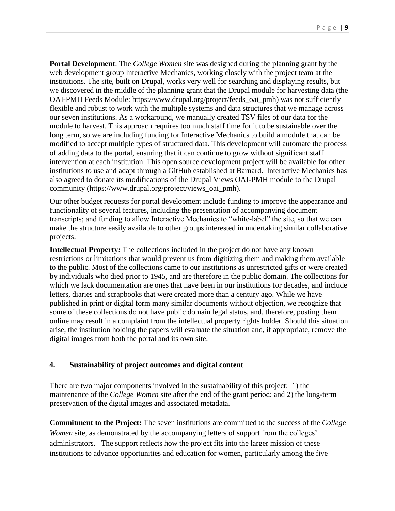**Portal Development**: The *College Women* site was designed during the planning grant by the web development group Interactive Mechanics, working closely with the project team at the institutions. The site, built on Drupal, works very well for searching and displaying results, but we discovered in the middle of the planning grant that the Drupal module for harvesting data (the OAI-PMH Feeds Module: [https://www.drupal.org/project/feeds\\_oai\\_pmh\)](https://www.drupal.org/project/feeds_oai_pmh) was not sufficiently flexible and robust to work with the multiple systems and data structures that we manage across our seven institutions. As a workaround, we manually created TSV files of our data for the module to harvest. This approach requires too much staff time for it to be sustainable over the long term, so we are including funding for Interactive Mechanics to build a module that can be modified to accept multiple types of structured data. This development will automate the process of adding data to the portal, ensuring that it can continue to grow without significant staff intervention at each institution. This open source development project will be available for other institutions to use and adapt through a GitHub established at Barnard. Interactive Mechanics has also agreed to donate its modifications of the Drupal Views OAI-PMH module to the Drupal community (https://www.drupal.org/project/views\_oai\_pmh).

Our other budget requests for portal development include funding to improve the appearance and functionality of several features, including the presentation of accompanying document transcripts; and funding to allow Interactive Mechanics to "white-label" the site, so that we can make the structure easily available to other groups interested in undertaking similar collaborative projects.

**Intellectual Property:** The collections included in the project do not have any known restrictions or limitations that would prevent us from digitizing them and making them available to the public. Most of the collections came to our institutions as unrestricted gifts or were created by individuals who died prior to 1945, and are therefore in the public domain. The collections for which we lack documentation are ones that have been in our institutions for decades, and include letters, diaries and scrapbooks that were created more than a century ago. While we have published in print or digital form many similar documents without objection, we recognize that some of these collections do not have public domain legal status, and, therefore, posting them online may result in a complaint from the intellectual property rights holder. Should this situation arise, the institution holding the papers will evaluate the situation and, if appropriate, remove the digital images from both the portal and its own site.

### **4. Sustainability of project outcomes and digital content**

There are two major components involved in the sustainability of this project: 1) the maintenance of the *College Women* site after the end of the grant period; and 2) the long-term preservation of the digital images and associated metadata.

**Commitment to the Project:** The seven institutions are committed to the success of the *College Women* site, as demonstrated by the accompanying letters of support from the colleges' administrators. The support reflects how the project fits into the larger mission of these institutions to advance opportunities and education for women, particularly among the five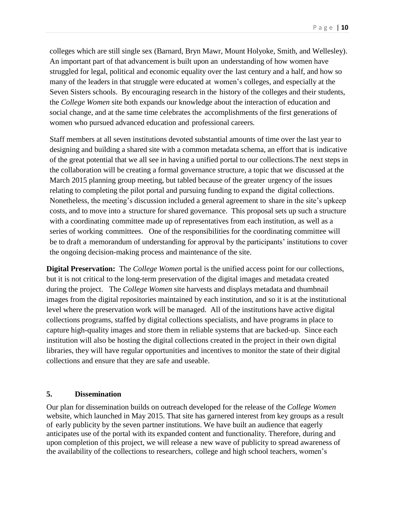colleges which are still single sex (Barnard, Bryn Mawr, Mount Holyoke, Smith, and Wellesley). An important part of that advancement is built upon an understanding of how women have struggled for legal, political and economic equality over the last century and a half, and how so many of the leaders in that struggle were educated at women's colleges, and especially at the Seven Sisters schools. By encouraging research in the history of the colleges and their students, the *College Women* site both expands our knowledge about the interaction of education and social change, and at the same time celebrates the accomplishments of the first generations of women who pursued advanced education and professional careers.

Staff members at all seven institutions devoted substantial amounts of time over the last year to designing and building a shared site with a common metadata schema, an effort that is indicative of the great potential that we all see in having a unified portal to our collections.The next steps in the collaboration will be creating a formal governance structure, a topic that we discussed at the March 2015 planning group meeting, but tabled because of the greater urgency of the issues relating to completing the pilot portal and pursuing funding to expand the digital collections. Nonetheless, the meeting's discussion included a general agreement to share in the site's upkeep costs, and to move into a structure for shared governance. This proposal sets up such a structure with a coordinating committee made up of representatives from each institution, as well as a series of working committees. One of the responsibilities for the coordinating committee will be to draft a memorandum of understanding for approval by the participants' institutions to cover the ongoing decision-making process and maintenance of the site.

**Digital Preservation:** The *College Women* portal is the unified access point for our collections, but it is not critical to the long-term preservation of the digital images and metadata created during the project. The *College Women* site harvests and displays metadata and thumbnail images from the digital repositories maintained by each institution, and so it is at the institutional level where the preservation work will be managed. All of the institutions have active digital collections programs, staffed by digital collections specialists, and have programs in place to capture high-quality images and store them in reliable systems that are backed-up. Since each institution will also be hosting the digital collections created in the project in their own digital libraries, they will have regular opportunities and incentives to monitor the state of their digital collections and ensure that they are safe and useable.

#### **5. Dissemination**

Our plan for dissemination builds on outreach developed for the release of the *College Women* website, which launched in May 2015. That site has garnered interest from key groups as a result of early publicity by the seven partner institutions. We have built an audience that eagerly anticipates use of the portal with its expanded content and functionality. Therefore, during and upon completion of this project, we will release a new wave of publicity to spread awareness of the availability of the collections to researchers, college and high school teachers, women's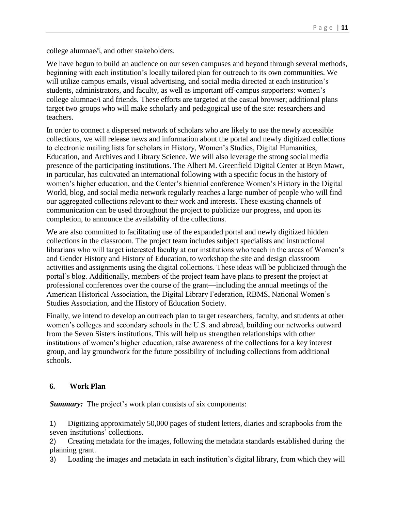college alumnae/i, and other stakeholders.

We have begun to build an audience on our seven campuses and beyond through several methods, beginning with each institution's locally tailored plan for outreach to its own communities. We will utilize campus emails, visual advertising, and social media directed at each institution's students, administrators, and faculty, as well as important off-campus supporters: women's college alumnae/i and friends. These efforts are targeted at the casual browser; additional plans target two groups who will make scholarly and pedagogical use of the site: researchers and teachers.

In order to connect a dispersed network of scholars who are likely to use the newly accessible collections, we will release news and information about the portal and newly digitized collections to electronic mailing lists for scholars in History, Women's Studies, Digital Humanities, Education, and Archives and Library Science. We will also leverage the strong social media presence of the participating institutions. The Albert M. Greenfield Digital Center at Bryn Mawr, in particular, has cultivated an international following with a specific focus in the history of women's higher education, and the Center's biennial conference Women's History in the Digital World, blog, and social media network regularly reaches a large number of people who will find our aggregated collections relevant to their work and interests. These existing channels of communication can be used throughout the project to publicize our progress, and upon its completion, to announce the availability of the collections.

We are also committed to facilitating use of the expanded portal and newly digitized hidden collections in the classroom. The project team includes subject specialists and instructional librarians who will target interested faculty at our institutions who teach in the areas of Women's and Gender History and History of Education, to workshop the site and design classroom activities and assignments using the digital collections. These ideas will be publicized through the portal's blog. Additionally, members of the project team have plans to present the project at professional conferences over the course of the grant—including the annual meetings of the American Historical Association, the Digital Library Federation, RBMS, National Women's Studies Association, and the History of Education Society.

Finally, we intend to develop an outreach plan to target researchers, faculty, and students at other women's colleges and secondary schools in the U.S. and abroad, building our networks outward from the Seven Sisters institutions. This will help us strengthen relationships with other institutions of women's higher education, raise awareness of the collections for a key interest group, and lay groundwork for the future possibility of including collections from additional schools.

### **6. Work Plan**

**Summary:** The project's work plan consists of six components:

1) Digitizing approximately 50,000 pages of student letters, diaries and scrapbooks from the seven institutions' collections.

2) Creating metadata for the images, following the metadata standards established during the planning grant.

3) Loading the images and metadata in each institution's digital library, from which they will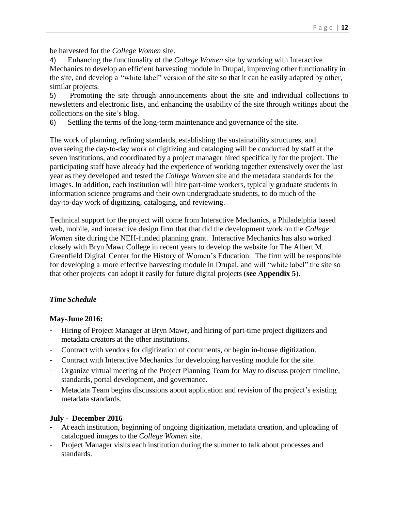be harvested for the *College Women* site.

4) Enhancing the functionality of the *College Women* site by working with Interactive Mechanics to develop an efficient harvesting module in Drupal, improving other functionality in the site, and develop a "white label" version of the site so that it can be easily adapted by other, similar projects.

5) Promoting the site through announcements about the site and individual collections to newsletters and electronic lists, and enhancing the usability of the site through writings about the collections on the site's blog.

6) Settling the terms of the long-term maintenance and governance of the site.

The work of planning, refining standards, establishing the sustainability structures, and overseeing the day-to-day work of digitizing and cataloging will be conducted by staff at the seven institutions, and coordinated by a project manager hired specifically for the project. The participating staff have already had the experience of working together extensively over the last year as they developed and tested the *College Women* site and the metadata standards for the images. In addition, each institution will hire part-time workers, typically graduate students in information science programs and their own undergraduate students, to do much of the day-to-day work of digitizing, cataloging, and reviewing.

Technical support for the project will come from Interactive Mechanics, a Philadelphia based web, mobile, and interactive design firm that that did the development work on the *College Women* site during the NEH-funded planning grant. Interactive Mechanics has also worked closely with Bryn Mawr College in recent years to develop the website for The Albert M. Greenfield Digital Center for the History of Women's Education. The firm will be responsible for developing a more effective harvesting module in Drupal, and will "white label" the site so that other projects can adopt it easily for future digital projects (**see Appendix 5**).

# *Time Schedule*

# **May-June 2016:**

- Hiring of Project Manager at Bryn Mawr, and hiring of part-time project digitizers and metadata creators at the other institutions.
- Contract with vendors for digitization of documents, or begin in-house digitization.
- Contract with Interactive Mechanics for developing harvesting module for the site.
- Organize virtual meeting of the Project Planning Team for May to discuss project timeline, standards, portal development, and governance.
- Metadata Team begins discussions about application and revision of the project's existing metadata standards.

# **July - December 2016**

- At each institution, beginning of ongoing digitization, metadata creation, and uploading of catalogued images to the *College Women* site.
- Project Manager visits each institution during the summer to talk about processes and standards.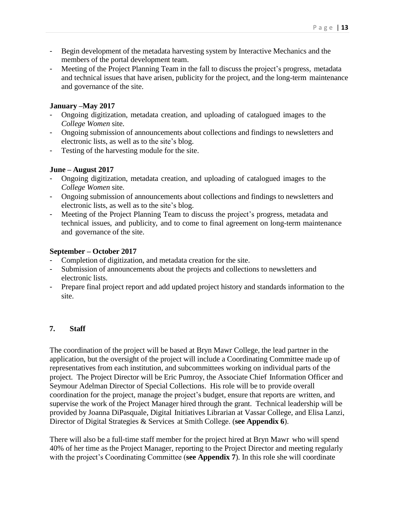- Begin development of the metadata harvesting system by Interactive Mechanics and the members of the portal development team.
- Meeting of the Project Planning Team in the fall to discuss the project's progress, metadata and technical issues that have arisen, publicity for the project, and the long-term maintenance and governance of the site.

### **January –May 2017**

- Ongoing digitization, metadata creation, and uploading of catalogued images to the *College Women* site.
- Ongoing submission of announcements about collections and findings to newsletters and electronic lists, as well as to the site's blog.
- Testing of the harvesting module for the site.

### **June – August 2017**

- Ongoing digitization, metadata creation, and uploading of catalogued images to the *College Women* site.
- Ongoing submission of announcements about collections and findings to newsletters and electronic lists, as well as to the site's blog.
- Meeting of the Project Planning Team to discuss the project's progress, metadata and technical issues, and publicity, and to come to final agreement on long-term maintenance and governance of the site.

### **September – October 2017**

- Completion of digitization, and metadata creation for the site.
- Submission of announcements about the projects and collections to newsletters and electronic lists.
- Prepare final project report and add updated project history and standards information to the site.

### **7. Staff**

The coordination of the project will be based at Bryn Mawr College, the lead partner in the application, but the oversight of the project will include a Coordinating Committee made up of representatives from each institution, and subcommittees working on individual parts of the project. The Project Director will be Eric Pumroy, the Associate Chief Information Officer and Seymour Adelman Director of Special Collections. His role will be to provide overall coordination for the project, manage the project's budget, ensure that reports are written, and supervise the work of the Project Manager hired through the grant. Technical leadership will be provided by Joanna DiPasquale, Digital Initiatives Librarian at Vassar College, and Elisa Lanzi, Director of Digital Strategies & Services at Smith College. (**see Appendix 6**).

There will also be a full-time staff member for the project hired at Bryn Mawr who will spend 40% of her time as the Project Manager, reporting to the Project Director and meeting regularly with the project's Coordinating Committee (**see Appendix 7**). In this role she will coordinate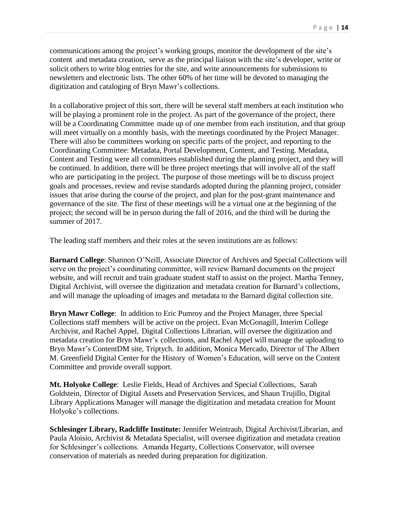communications among the project's working groups, monitor the development of the site's content and metadata creation, serve as the principal liaison with the site's developer, write or solicit others to write blog entries for the site, and write announcements for submissions to newsletters and electronic lists. The other 60% of her time will be devoted to managing the digitization and cataloging of Bryn Mawr's collections.

In a collaborative project of this sort, there will be several staff members at each institution who will be playing a prominent role in the project. As part of the governance of the project, there will be a Coordinating Committee made up of one member from each institution, and that group will meet virtually on a monthly basis, with the meetings coordinated by the Project Manager. There will also be committees working on specific parts of the project, and reporting to the Coordinating Committee: Metadata, Portal Development, Content, and Testing. Metadata, Content and Testing were all committees established during the planning project, and they will be continued. In addition, there will be three project meetings that will involve all of the staff who are participating in the project. The purpose of those meetings will be to discuss project goals and processes, review and revise standards adopted during the planning project, consider issues that arise during the course of the project, and plan for the post-grant maintenance and governance of the site. The first of these meetings will be a virtual one at the beginning of the project; the second will be in person during the fall of 2016, and the third will be during the summer of 2017.

The leading staff members and their roles at the seven institutions are as follows:

**Barnard College**: Shannon O'Neill, Associate Director of Archives and Special Collections will serve on the project's coordinating committee, will review Barnard documents on the project website, and will recruit and train graduate student staff to assist on the project. Martha Tenney, Digital Archivist, will oversee the digitization and metadata creation for Barnard's collections, and will manage the uploading of images and metadata to the Barnard digital collection site.

**Bryn Mawr College**: In addition to Eric Pumroy and the Project Manager, three Special Collections staff members will be active on the project. Evan McGonagill, Interim College Archivist, and Rachel Appel, Digital Collections Librarian, will oversee the digitization and metadata creation for Bryn Mawr's collections, and Rachel Appel will manage the uploading to Bryn Mawr's ContentDM site, Triptych. In addition, Monica Mercado, Director of The Albert M. Greenfield Digital Center for the History of Women's Education, will serve on the Content Committee and provide overall support.

**Mt. Holyoke College**: Leslie Fields, Head of Archives and Special Collections, Sarah Goldstein, Director of Digital Assets and Preservation Services, and Shaun Trujillo, Digital Library Applications Manager will manage the digitization and metadata creation for Mount Holyoke's collections.

**Schlesinger Library, Radcliffe Institute:** Jennifer Weintraub, Digital Archivist/Librarian, and Paula Aloisio, Archivist & Metadata Specialist, will oversee digitization and metadata creation for Schlesinger's collections. Amanda Hegarty, Collections Conservator, will oversee conservation of materials as needed during preparation for digitization.